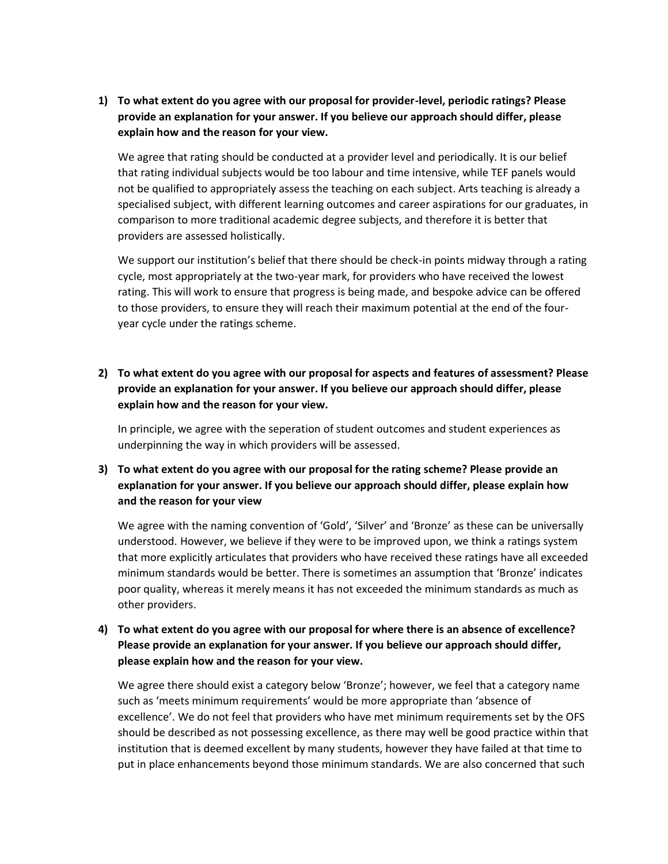**1) To what extent do you agree with our proposal for provider-level, periodic ratings? Please provide an explanation for your answer. If you believe our approach should differ, please explain how and the reason for your view.**

We agree that rating should be conducted at a provider level and periodically. It is our belief that rating individual subjects would be too labour and time intensive, while TEF panels would not be qualified to appropriately assess the teaching on each subject. Arts teaching is already a specialised subject, with different learning outcomes and career aspirations for our graduates, in comparison to more traditional academic degree subjects, and therefore it is better that providers are assessed holistically.

We support our institution's belief that there should be check-in points midway through a rating cycle, most appropriately at the two-year mark, for providers who have received the lowest rating. This will work to ensure that progress is being made, and bespoke advice can be offered to those providers, to ensure they will reach their maximum potential at the end of the fouryear cycle under the ratings scheme.

**2) To what extent do you agree with our proposal for aspects and features of assessment? Please provide an explanation for your answer. If you believe our approach should differ, please explain how and the reason for your view.**

In principle, we agree with the seperation of student outcomes and student experiences as underpinning the way in which providers will be assessed.

**3) To what extent do you agree with our proposal for the rating scheme? Please provide an explanation for your answer. If you believe our approach should differ, please explain how and the reason for your view**

We agree with the naming convention of 'Gold', 'Silver' and 'Bronze' as these can be universally understood. However, we believe if they were to be improved upon, we think a ratings system that more explicitly articulates that providers who have received these ratings have all exceeded minimum standards would be better. There is sometimes an assumption that 'Bronze' indicates poor quality, whereas it merely means it has not exceeded the minimum standards as much as other providers.

**4) To what extent do you agree with our proposal for where there is an absence of excellence? Please provide an explanation for your answer. If you believe our approach should differ, please explain how and the reason for your view.**

We agree there should exist a category below 'Bronze'; however, we feel that a category name such as 'meets minimum requirements' would be more appropriate than 'absence of excellence'. We do not feel that providers who have met minimum requirements set by the OFS should be described as not possessing excellence, as there may well be good practice within that institution that is deemed excellent by many students, however they have failed at that time to put in place enhancements beyond those minimum standards. We are also concerned that such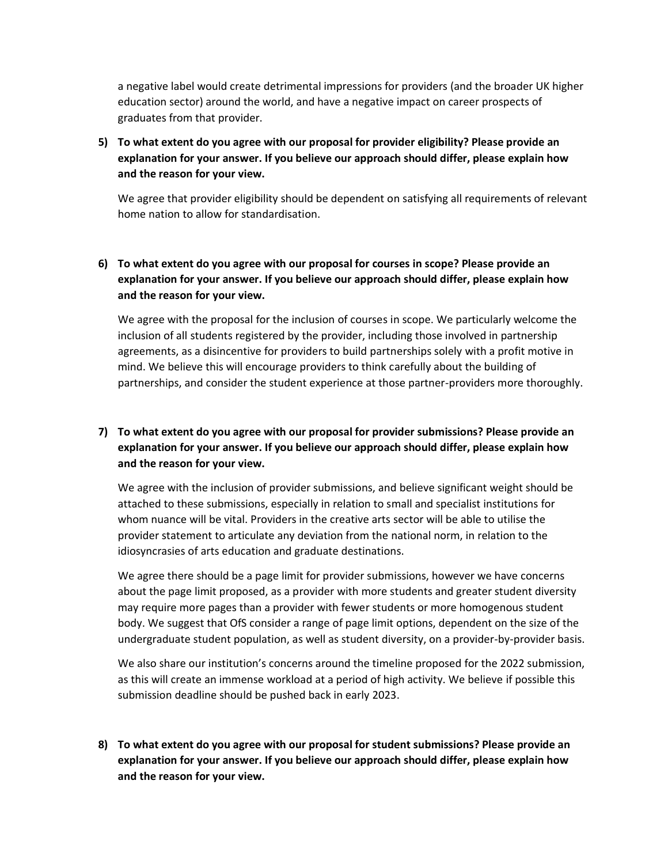a negative label would create detrimental impressions for providers (and the broader UK higher education sector) around the world, and have a negative impact on career prospects of graduates from that provider.

**5) To what extent do you agree with our proposal for provider eligibility? Please provide an explanation for your answer. If you believe our approach should differ, please explain how and the reason for your view.**

We agree that provider eligibility should be dependent on satisfying all requirements of relevant home nation to allow for standardisation.

## **6) To what extent do you agree with our proposal for courses in scope? Please provide an explanation for your answer. If you believe our approach should differ, please explain how and the reason for your view.**

We agree with the proposal for the inclusion of courses in scope. We particularly welcome the inclusion of all students registered by the provider, including those involved in partnership agreements, as a disincentive for providers to build partnerships solely with a profit motive in mind. We believe this will encourage providers to think carefully about the building of partnerships, and consider the student experience at those partner-providers more thoroughly.

# **7) To what extent do you agree with our proposal for provider submissions? Please provide an explanation for your answer. If you believe our approach should differ, please explain how and the reason for your view.**

We agree with the inclusion of provider submissions, and believe significant weight should be attached to these submissions, especially in relation to small and specialist institutions for whom nuance will be vital. Providers in the creative arts sector will be able to utilise the provider statement to articulate any deviation from the national norm, in relation to the idiosyncrasies of arts education and graduate destinations.

We agree there should be a page limit for provider submissions, however we have concerns about the page limit proposed, as a provider with more students and greater student diversity may require more pages than a provider with fewer students or more homogenous student body. We suggest that OfS consider a range of page limit options, dependent on the size of the undergraduate student population, as well as student diversity, on a provider-by-provider basis.

We also share our institution's concerns around the timeline proposed for the 2022 submission, as this will create an immense workload at a period of high activity. We believe if possible this submission deadline should be pushed back in early 2023.

**8) To what extent do you agree with our proposal for student submissions? Please provide an explanation for your answer. If you believe our approach should differ, please explain how and the reason for your view.**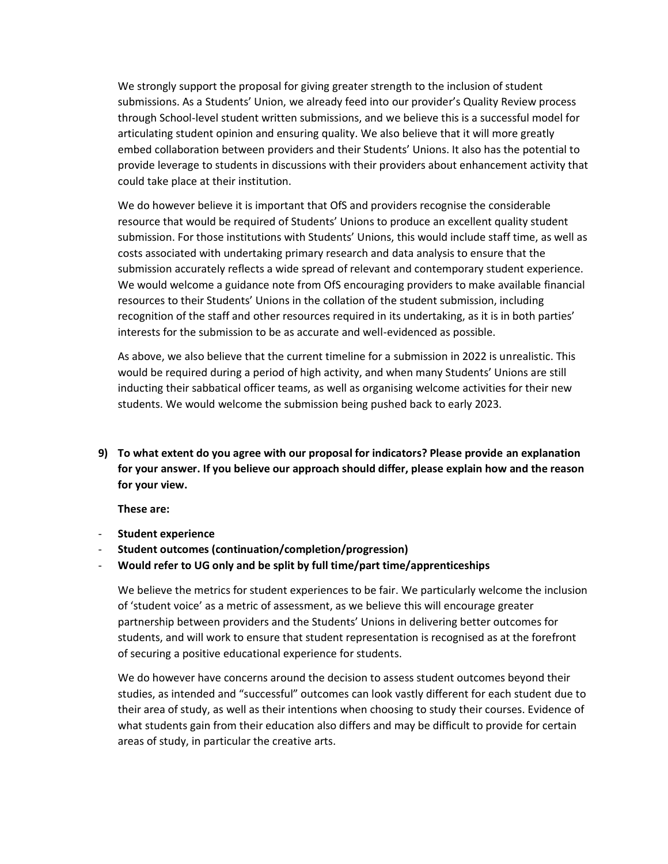We strongly support the proposal for giving greater strength to the inclusion of student submissions. As a Students' Union, we already feed into our provider's Quality Review process through School-level student written submissions, and we believe this is a successful model for articulating student opinion and ensuring quality. We also believe that it will more greatly embed collaboration between providers and their Students' Unions. It also has the potential to provide leverage to students in discussions with their providers about enhancement activity that could take place at their institution.

We do however believe it is important that OfS and providers recognise the considerable resource that would be required of Students' Unions to produce an excellent quality student submission. For those institutions with Students' Unions, this would include staff time, as well as costs associated with undertaking primary research and data analysis to ensure that the submission accurately reflects a wide spread of relevant and contemporary student experience. We would welcome a guidance note from OfS encouraging providers to make available financial resources to their Students' Unions in the collation of the student submission, including recognition of the staff and other resources required in its undertaking, as it is in both parties' interests for the submission to be as accurate and well-evidenced as possible.

As above, we also believe that the current timeline for a submission in 2022 is unrealistic. This would be required during a period of high activity, and when many Students' Unions are still inducting their sabbatical officer teams, as well as organising welcome activities for their new students. We would welcome the submission being pushed back to early 2023.

**9) To what extent do you agree with our proposal for indicators? Please provide an explanation for your answer. If you believe our approach should differ, please explain how and the reason for your view.**

**These are:**

- **Student experience**
- **Student outcomes (continuation/completion/progression)**
- **Would refer to UG only and be split by full time/part time/apprenticeships**

We believe the metrics for student experiences to be fair. We particularly welcome the inclusion of 'student voice' as a metric of assessment, as we believe this will encourage greater partnership between providers and the Students' Unions in delivering better outcomes for students, and will work to ensure that student representation is recognised as at the forefront of securing a positive educational experience for students.

We do however have concerns around the decision to assess student outcomes beyond their studies, as intended and "successful" outcomes can look vastly different for each student due to their area of study, as well as their intentions when choosing to study their courses. Evidence of what students gain from their education also differs and may be difficult to provide for certain areas of study, in particular the creative arts.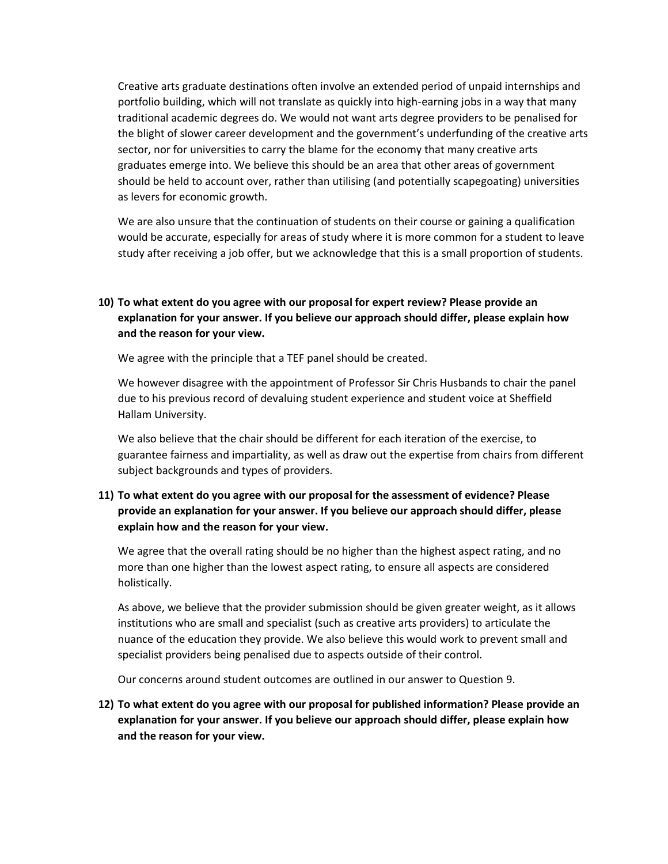Creative arts graduate destinations often involve an extended period of unpaid internships and portfolio building, which will not translate as quickly into high-earning jobs in a way that many traditional academic degrees do. We would not want arts degree providers to be penalised for the blight of slower career development and the government's underfunding of the creative arts sector, nor for universities to carry the blame for the economy that many creative arts graduates emerge into. We believe this should be an area that other areas of government should be held to account over, rather than utilising (and potentially scapegoating) universities as levers for economic growth.

We are also unsure that the continuation of students on their course or gaining a qualification would be accurate, especially for areas of study where it is more common for a student to leave study after receiving a job offer, but we acknowledge that this is a small proportion of students.

### **10) To what extent do you agree with our proposal for expert review? Please provide an explanation for your answer. If you believe our approach should differ, please explain how and the reason for your view.**

We agree with the principle that a TEF panel should be created.

We however disagree with the appointment of Professor Sir Chris Husbands to chair the panel due to his previous record of devaluing student experience and student voice at Sheffield Hallam University.

We also believe that the chair should be different for each iteration of the exercise, to guarantee fairness and impartiality, as well as draw out the expertise from chairs from different subject backgrounds and types of providers.

### **11) To what extent do you agree with our proposal for the assessment of evidence? Please provide an explanation for your answer. If you believe our approach should differ, please explain how and the reason for your view.**

We agree that the overall rating should be no higher than the highest aspect rating, and no more than one higher than the lowest aspect rating, to ensure all aspects are considered holistically.

As above, we believe that the provider submission should be given greater weight, as it allows institutions who are small and specialist (such as creative arts providers) to articulate the nuance of the education they provide. We also believe this would work to prevent small and specialist providers being penalised due to aspects outside of their control.

Our concerns around student outcomes are outlined in our answer to Question 9.

**12) To what extent do you agree with our proposal for published information? Please provide an explanation for your answer. If you believe our approach should differ, please explain how and the reason for your view.**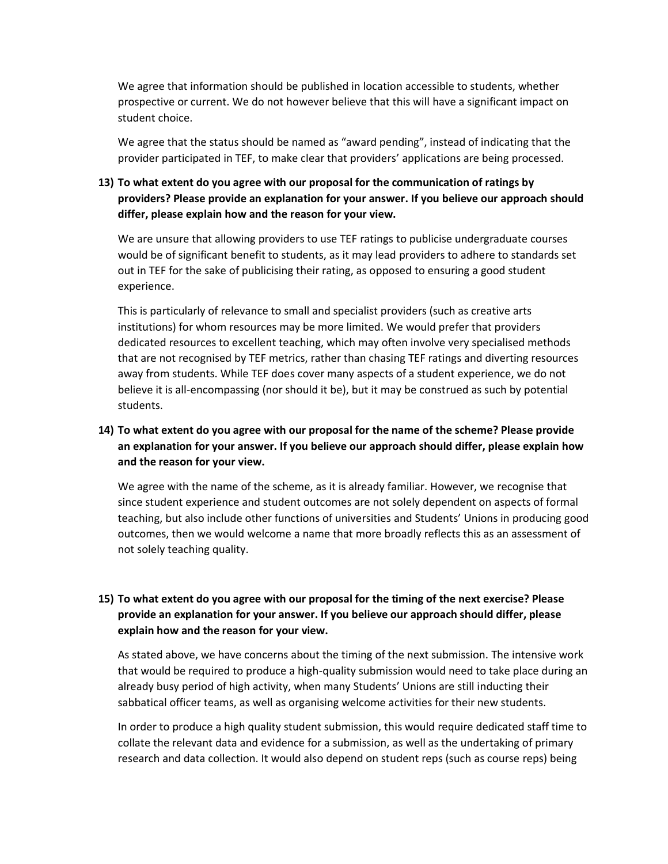We agree that information should be published in location accessible to students, whether prospective or current. We do not however believe that this will have a significant impact on student choice.

We agree that the status should be named as "award pending", instead of indicating that the provider participated in TEF, to make clear that providers' applications are being processed.

### **13) To what extent do you agree with our proposal for the communication of ratings by providers? Please provide an explanation for your answer. If you believe our approach should differ, please explain how and the reason for your view.**

We are unsure that allowing providers to use TEF ratings to publicise undergraduate courses would be of significant benefit to students, as it may lead providers to adhere to standards set out in TEF for the sake of publicising their rating, as opposed to ensuring a good student experience.

This is particularly of relevance to small and specialist providers (such as creative arts institutions) for whom resources may be more limited. We would prefer that providers dedicated resources to excellent teaching, which may often involve very specialised methods that are not recognised by TEF metrics, rather than chasing TEF ratings and diverting resources away from students. While TEF does cover many aspects of a student experience, we do not believe it is all-encompassing (nor should it be), but it may be construed as such by potential students.

# **14) To what extent do you agree with our proposal for the name of the scheme? Please provide an explanation for your answer. If you believe our approach should differ, please explain how and the reason for your view.**

We agree with the name of the scheme, as it is already familiar. However, we recognise that since student experience and student outcomes are not solely dependent on aspects of formal teaching, but also include other functions of universities and Students' Unions in producing good outcomes, then we would welcome a name that more broadly reflects this as an assessment of not solely teaching quality.

# **15) To what extent do you agree with our proposal for the timing of the next exercise? Please provide an explanation for your answer. If you believe our approach should differ, please explain how and the reason for your view.**

As stated above, we have concerns about the timing of the next submission. The intensive work that would be required to produce a high-quality submission would need to take place during an already busy period of high activity, when many Students' Unions are still inducting their sabbatical officer teams, as well as organising welcome activities for their new students.

In order to produce a high quality student submission, this would require dedicated staff time to collate the relevant data and evidence for a submission, as well as the undertaking of primary research and data collection. It would also depend on student reps (such as course reps) being